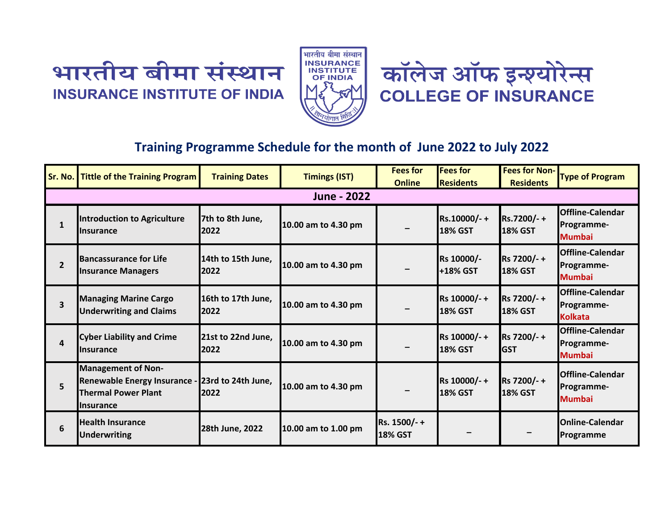





## **Training Programme Schedule for the month of June 2022 to July 2022**

| Sr. No.        | <b>Tittle of the Training Program</b>                                                                                          | <b>Training Dates</b>      | <b>Timings (IST)</b> | <b>Fees for</b><br><b>Online</b> | <b>Fees for</b><br><b>Residents</b> | <b>Fees for Non-</b><br><b>Residents</b> | <b>Type of Program</b>                                  |  |  |  |
|----------------|--------------------------------------------------------------------------------------------------------------------------------|----------------------------|----------------------|----------------------------------|-------------------------------------|------------------------------------------|---------------------------------------------------------|--|--|--|
| June - 2022    |                                                                                                                                |                            |                      |                                  |                                     |                                          |                                                         |  |  |  |
| $\mathbf{1}$   | Introduction to Agriculture<br><b>Ilnsurance</b>                                                                               | 7th to 8th June,<br>2022   | 10.00 am to 4.30 pm  |                                  | Rs.10000/-+<br><b>18% GST</b>       | Rs.7200/-+<br><b>18% GST</b>             | <b>Offline-Calendar</b><br>Programme-<br><b>Mumbai</b>  |  |  |  |
| $\overline{2}$ | <b>Bancassurance for Life</b><br><b>Insurance Managers</b>                                                                     | 14th to 15th June,<br>2022 | 10.00 am to 4.30 pm  |                                  | Rs 10000/-<br>+18% GST              | Rs 7200/-+<br><b>18% GST</b>             | <b>Offline-Calendar</b><br>Programme-<br><b>Mumbai</b>  |  |  |  |
| 3              | <b>Managing Marine Cargo</b><br><b>Underwriting and Claims</b>                                                                 | 16th to 17th June,<br>2022 | 10.00 am to 4.30 pm  |                                  | Rs 10000/-+<br><b>18% GST</b>       | Rs 7200/-+<br><b>18% GST</b>             | <b>Offline-Calendar</b><br>Programme-<br><b>Kolkata</b> |  |  |  |
| 4              | <b>Cyber Liability and Crime</b><br><b>Insurance</b>                                                                           | 21st to 22nd June,<br>2022 | 10.00 am to 4.30 pm  |                                  | Rs 10000/-+<br><b>18% GST</b>       | Rs 7200/-+<br><b>GST</b>                 | <b>Offline-Calendar</b><br>Programme-<br><b>Mumbai</b>  |  |  |  |
| 5              | <b>Management of Non-</b><br>Renewable Energy Insurance - 23rd to 24th June,<br><b>Thermal Power Plant</b><br><b>Insurance</b> | 2022                       | 10.00 am to 4.30 pm  |                                  | Rs 10000/-+<br><b>18% GST</b>       | Rs 7200/-+<br><b>18% GST</b>             | <b>Offline-Calendar</b><br>Programme-<br><b>Mumbai</b>  |  |  |  |
| 6              | <b>Health Insurance</b><br><b>Underwriting</b>                                                                                 | 28th June, 2022            | 10.00 am to 1.00 pm  | Rs. 1500/-+<br><b>18% GST</b>    |                                     |                                          | <b>Online-Calendar</b><br><b>Programme</b>              |  |  |  |